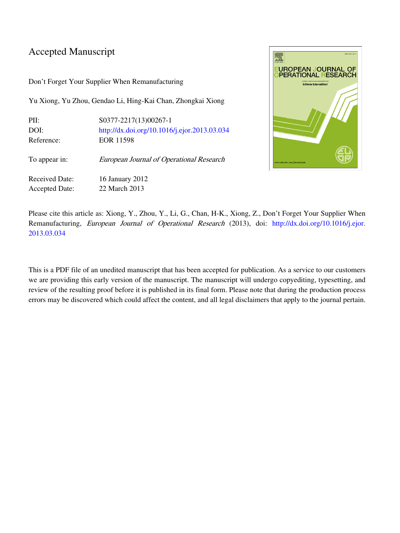### Accepted Manuscript

Don't Forget Your Supplier When Remanufacturing

Yu Xiong, Yu Zhou, Gendao Li, Hing-Kai Chan, Zhongkai Xiong

| PII:       | S0377-2217(13)00267-1                        |
|------------|----------------------------------------------|
| DOI:       | http://dx.doi.org/10.1016/j.ejor.2013.03.034 |
| Reference: | EOR 11598                                    |
|            |                                              |

To appear in: European Journal of Operational Research

Received Date: 16 January 2012 Accepted Date: 22 March 2013



Please cite this article as: Xiong, Y., Zhou, Y., Li, G., Chan, H-K., Xiong, Z., Don't Forget Your Supplier When Remanufacturing, European Journal of Operational Research (2013), doi: [http://dx.doi.org/10.1016/j.ejor.](http://dx.doi.org/http://dx.doi.org/10.1016/j.ejor.2013.03.034) [2013.03.034](http://dx.doi.org/http://dx.doi.org/10.1016/j.ejor.2013.03.034)

This is a PDF file of an unedited manuscript that has been accepted for publication. As a service to our customers we are providing this early version of the manuscript. The manuscript will undergo copyediting, typesetting, and review of the resulting proof before it is published in its final form. Please note that during the production process errors may be discovered which could affect the content, and all legal disclaimers that apply to the journal pertain.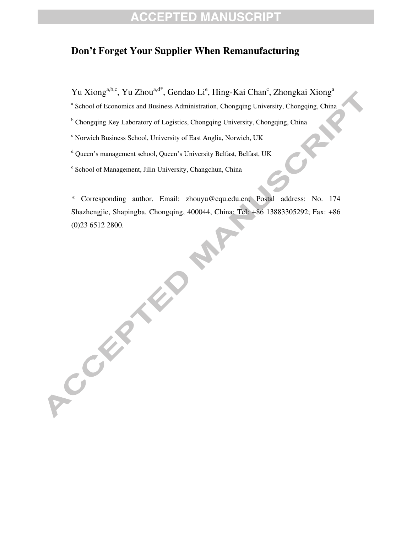### **Don't Forget Your Supplier When Remanufacturing**

Yu Xiong<sup>a,b,c</sup>, Yu Zhou<sup>a,d\*</sup>, Gendao Li<sup>e</sup>, Hing-Kai Chan<sup>c</sup>, Zhongkai Xiong<sup>a</sup>

<sup>a</sup> School of Economics and Business Administration, Chongqing University, Chongqing, China

<sup>b</sup> Chongqing Key Laboratory of Logistics, Chongqing University, Chongqing, China

c Norwich Business School, University of East Anglia, Norwich, UK

<sup>d</sup> Queen's management school, Queen's University Belfast, Belfast, UK

e School of Management, Jilin University, Changchun, China

\* Corresponding author. Email: zhouyu@cqu.edu.cn; Postal address: No. 174 Shazhengjie, Shapingba, Chongqing, 400044, China; Tel: +86 13883305292; Fax: +86 (0)23 6512 2800.

ACCEPTER RE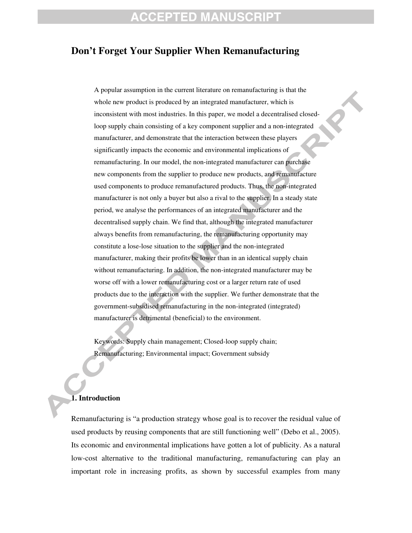#### **Don't Forget Your Supplier When Remanufacturing**

A popular assumption in the current literature on remanufacturing is that the whole new product is produced by an integrated manufacturer, which is inconsistent with most industries. In this paper, we model a decentralised closedloop supply chain consisting of a key component supplier and a non-integrated manufacturer, and demonstrate that the interaction between these players significantly impacts the economic and environmental implications of remanufacturing. In our model, the non-integrated manufacturer can purchase new components from the supplier to produce new products, and remanufacture used components to produce remanufactured products. Thus, the non-integrated manufacturer is not only a buyer but also a rival to the supplier. In a steady state period, we analyse the performances of an integrated manufacturer and the decentralised supply chain. We find that, although the integrated manufacturer always benefits from remanufacturing, the remanufacturing opportunity may constitute a lose-lose situation to the supplier and the non-integrated manufacturer, making their profits be lower than in an identical supply chain without remanufacturing. In addition, the non-integrated manufacturer may be worse off with a lower remanufacturing cost or a larger return rate of used products due to the interaction with the supplier. We further demonstrate that the government-subsidised remanufacturing in the non-integrated (integrated) manufacturer is detrimental (beneficial) to the environment.

Keywords: Supply chain management; Closed-loop supply chain; Remanufacturing; Environmental impact; Government subsidy

#### **1. Introduction**

Remanufacturing is "a production strategy whose goal is to recover the residual value of used products by reusing components that are still functioning well" (Debo et al., 2005). Its economic and environmental implications have gotten a lot of publicity. As a natural low-cost alternative to the traditional manufacturing, remanufacturing can play an important role in increasing profits, as shown by successful examples from many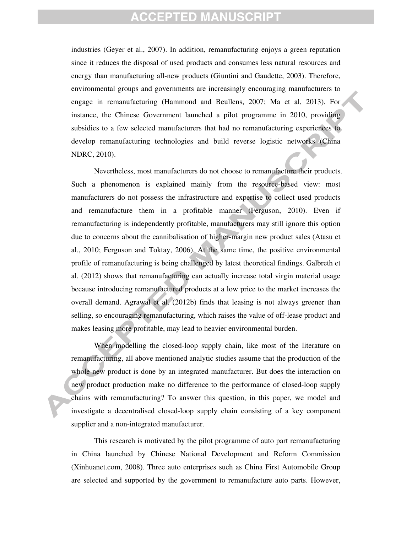industries (Geyer et al., 2007). In addition, remanufacturing enjoys a green reputation since it reduces the disposal of used products and consumes less natural resources and energy than manufacturing all-new products (Giuntini and Gaudette, 2003). Therefore, environmental groups and governments are increasingly encouraging manufacturers to engage in remanufacturing (Hammond and Beullens, 2007; Ma et al, 2013). For instance, the Chinese Government launched a pilot programme in 2010, providing subsidies to a few selected manufacturers that had no remanufacturing experiences to develop remanufacturing technologies and build reverse logistic networks (China NDRC, 2010).

Nevertheless, most manufacturers do not choose to remanufacture their products. Such a phenomenon is explained mainly from the resource-based view: most manufacturers do not possess the infrastructure and expertise to collect used products and remanufacture them in a profitable manner (Ferguson, 2010). Even if remanufacturing is independently profitable, manufacturers may still ignore this option due to concerns about the cannibalisation of higher-margin new product sales (Atasu et al., 2010; Ferguson and Toktay, 2006). At the same time, the positive environmental profile of remanufacturing is being challenged by latest theoretical findings. Galbreth et al. (2012) shows that remanufacturing can actually increase total virgin material usage because introducing remanufactured products at a low price to the market increases the overall demand. Agrawal et al. (2012b) finds that leasing is not always greener than selling, so encouraging remanufacturing, which raises the value of off-lease product and makes leasing more profitable, may lead to heavier environmental burden.

When modelling the closed-loop supply chain, like most of the literature on remanufacturing, all above mentioned analytic studies assume that the production of the whole new product is done by an integrated manufacturer. But does the interaction on new product production make no difference to the performance of closed-loop supply chains with remanufacturing? To answer this question, in this paper, we model and investigate a decentralised closed-loop supply chain consisting of a key component supplier and a non-integrated manufacturer.

This research is motivated by the pilot programme of auto part remanufacturing in China launched by Chinese National Development and Reform Commission (Xinhuanet.com, 2008). Three auto enterprises such as China First Automobile Group are selected and supported by the government to remanufacture auto parts. However,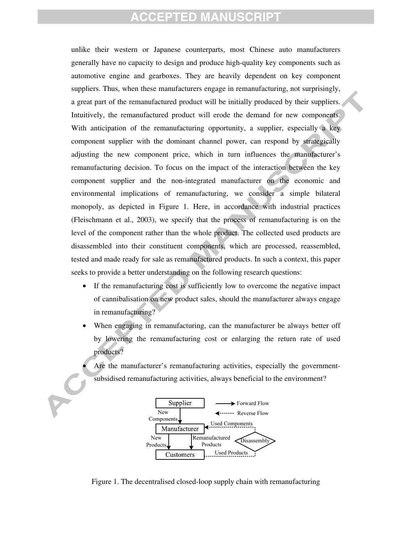unlike their western or Japanese counterparts, most Chinese auto manufacturers generally have no capacity to design and produce high-quality key components such as automotive engine and gearboxes. They are heavily dependent on key component suppliers. Thus, when these manufacturers engage in remanufacturing, not surprisingly, a great part of the remanufactured product will be initially produced by their suppliers. Intuitively, the remanufactured product will erode the demand for new components. With anticipation of the remanufacturing opportunity, a supplier, especially a key component supplier with the dominant channel power, can respond by strategically adjusting the new component price, which in turn influences the manufacturer's remanufacturing decision. To focus on the impact of the interaction between the key component supplier and the non-integrated manufacturer on the economic and environmental implications of remanufacturing, we consider a simple bilateral monopoly, as depicted in Figure 1. Here, in accordance with industrial practices (Fleischmann et al., 2003), we specify that the process of remanufacturing is on the level of the component rather than the whole product. The collected used products are disassembled into their constituent components, which are processed, reassembled, tested and made ready for sale as remanufactured products. In such a context, this paper seeks to provide a better understanding on the following research questions:

- If the remanufacturing cost is sufficiently low to overcome the negative impact of cannibalisation on new product sales, should the manufacturer always engage in remanufacturing?
- When engaging in remanufacturing, can the manufacturer be always better off by lowering the remanufacturing cost or enlarging the return rate of used products?

Are the manufacturer's remanufacturing activities, especially the governmentsubsidised remanufacturing activities, always beneficial to the environment?



Figure 1. The decentralised closed-loop supply chain with remanufacturing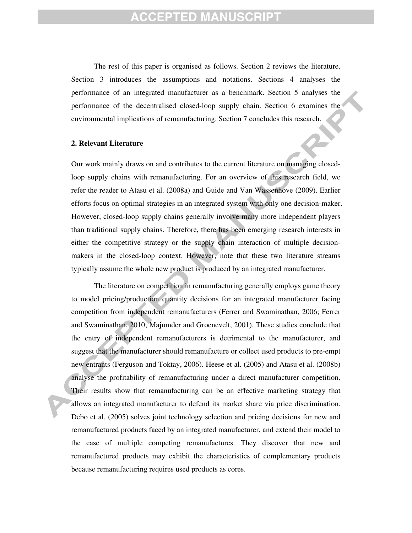### CCEPTED MANUS

The rest of this paper is organised as follows. Section 2 reviews the literature. Section 3 introduces the assumptions and notations. Sections 4 analyses the performance of an integrated manufacturer as a benchmark. Section 5 analyses the performance of the decentralised closed-loop supply chain. Section 6 examines the environmental implications of remanufacturing. Section 7 concludes this research.

#### **2. Relevant Literature**

Our work mainly draws on and contributes to the current literature on managing closedloop supply chains with remanufacturing. For an overview of this research field, we refer the reader to Atasu et al. (2008a) and Guide and Van Wassenhove (2009). Earlier efforts focus on optimal strategies in an integrated system with only one decision-maker. However, closed-loop supply chains generally involve many more independent players than traditional supply chains. Therefore, there has been emerging research interests in either the competitive strategy or the supply chain interaction of multiple decisionmakers in the closed-loop context. However, note that these two literature streams typically assume the whole new product is produced by an integrated manufacturer.

The literature on competition in remanufacturing generally employs game theory to model pricing/production quantity decisions for an integrated manufacturer facing competition from independent remanufacturers (Ferrer and Swaminathan, 2006; Ferrer and Swaminathan, 2010; Majumder and Groenevelt, 2001). These studies conclude that the entry of independent remanufacturers is detrimental to the manufacturer, and suggest that the manufacturer should remanufacture or collect used products to pre-empt new entrants (Ferguson and Toktay, 2006). Heese et al. (2005) and Atasu et al. (2008b) analyse the profitability of remanufacturing under a direct manufacturer competition. Their results show that remanufacturing can be an effective marketing strategy that allows an integrated manufacturer to defend its market share via price discrimination. Debo et al. (2005) solves joint technology selection and pricing decisions for new and remanufactured products faced by an integrated manufacturer, and extend their model to the case of multiple competing remanufactures. They discover that new and remanufactured products may exhibit the characteristics of complementary products because remanufacturing requires used products as cores.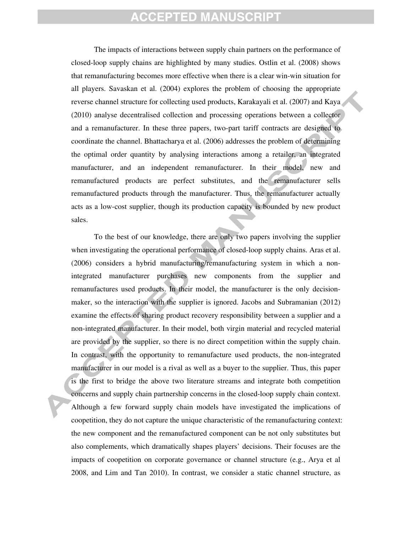The impacts of interactions between supply chain partners on the performance of closed-loop supply chains are highlighted by many studies. Ostlin et al. (2008) shows that remanufacturing becomes more effective when there is a clear win-win situation for all players. Savaskan et al. (2004) explores the problem of choosing the appropriate reverse channel structure for collecting used products, Karakayali et al. (2007) and Kaya (2010) analyse decentralised collection and processing operations between a collector and a remanufacturer. In these three papers, two-part tariff contracts are designed to coordinate the channel. Bhattacharya et al. (2006) addresses the problem of determining the optimal order quantity by analysing interactions among a retailer, an integrated manufacturer, and an independent remanufacturer. In their model, new and remanufactured products are perfect substitutes, and the remanufacturer sells remanufactured products through the manufacturer. Thus, the remanufacturer actually acts as a low-cost supplier, though its production capacity is bounded by new product sales.

To the best of our knowledge, there are only two papers involving the supplier when investigating the operational performance of closed-loop supply chains. Aras et al. (2006) considers a hybrid manufacturing/remanufacturing system in which a nonintegrated manufacturer purchases new components from the supplier and remanufactures used products. In their model, the manufacturer is the only decisionmaker, so the interaction with the supplier is ignored. Jacobs and Subramanian (2012) examine the effects of sharing product recovery responsibility between a supplier and a non-integrated manufacturer. In their model, both virgin material and recycled material are provided by the supplier, so there is no direct competition within the supply chain. In contrast, with the opportunity to remanufacture used products, the non-integrated manufacturer in our model is a rival as well as a buyer to the supplier. Thus, this paper is the first to bridge the above two literature streams and integrate both competition concerns and supply chain partnership concerns in the closed-loop supply chain context. Although a few forward supply chain models have investigated the implications of coopetition, they do not capture the unique characteristic of the remanufacturing context: the new component and the remanufactured component can be not only substitutes but also complements, which dramatically shapes players' decisions. Their focuses are the impacts of coopetition on corporate governance or channel structure (e.g., Arya et al 2008, and Lim and Tan 2010). In contrast, we consider a static channel structure, as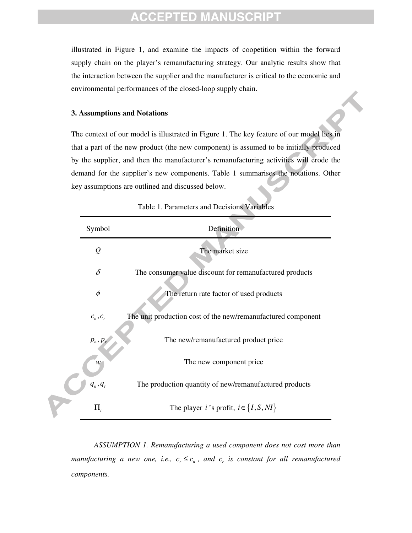illustrated in Figure 1, and examine the impacts of coopetition within the forward supply chain on the player's remanufacturing strategy. Our analytic results show that the interaction between the supplier and the manufacturer is critical to the economic and environmental performances of the closed-loop supply chain.

#### **3. Assumptions and Notations**

The context of our model is illustrated in Figure 1. The key feature of our model lies in that a part of the new product (the new component) is assumed to be initially produced by the supplier, and then the manufacturer's remanufacturing activities will erode the demand for the supplier's new components. Table 1 summarises the notations. Other key assumptions are outlined and discussed below.

| Symbol        | Definition                                                   |  |  |  |  |  |  |
|---------------|--------------------------------------------------------------|--|--|--|--|--|--|
| $\mathcal{Q}$ | The market size                                              |  |  |  |  |  |  |
| $\delta$      | The consumer value discount for remanufactured products      |  |  |  |  |  |  |
| $\phi$        | The return rate factor of used products                      |  |  |  |  |  |  |
| $c_n, c_r$    | The unit production cost of the new/remanufactured component |  |  |  |  |  |  |
| $p_n, p_r$    | The new/remanufactured product price                         |  |  |  |  |  |  |
| w             | The new component price                                      |  |  |  |  |  |  |
| $q_n, q_r$    | The production quantity of new/remanufactured products       |  |  |  |  |  |  |
| $\Pi_i$       | The player <i>i</i> 's profit, $i \in \{I, S, NI\}$          |  |  |  |  |  |  |

| Table 1. Parameters and Decisions Variables |
|---------------------------------------------|
|---------------------------------------------|

*ASSUMPTION 1. Remanufacturing a used component does not cost more than manufacturing a new one, i.e.,*  $c_r \leq c_n$ *, and*  $c_r$  *is constant for all remanufactured components.*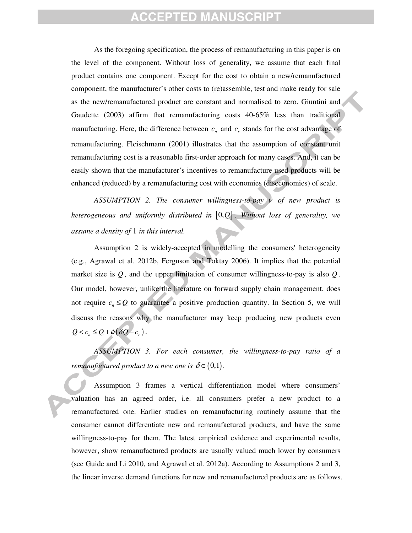As the foregoing specification, the process of remanufacturing in this paper is on the level of the component. Without loss of generality, we assume that each final product contains one component. Except for the cost to obtain a new/remanufactured component, the manufacturer's other costs to (re)assemble, test and make ready for sale as the new/remanufactured product are constant and normalised to zero. Giuntini and Gaudette (2003) affirm that remanufacturing costs 40-65% less than traditional manufacturing. Here, the difference between  $c_n$  and  $c_r$  stands for the cost advantage of remanufacturing. Fleischmann (2001) illustrates that the assumption of constant unit remanufacturing cost is a reasonable first-order approach for many cases. And, it can be easily shown that the manufacturer's incentives to remanufacture used products will be enhanced (reduced) by a remanufacturing cost with economies (diseconomies) of scale.

*ASSUMPTION 2. The consumer willingness-to-pay* ν *of new product is heterogeneous and uniformly distributed in* [0,*Q*] *. Without loss of generality, we assume a density of* 1 *in this interval.* 

Assumption 2 is widely-accepted in modelling the consumers' heterogeneity (e.g., Agrawal et al. 2012b, Ferguson and Toktay 2006). It implies that the potential market size is *Q* , and the upper limitation of consumer willingness-to-pay is also *Q* . Our model, however, unlike the literature on forward supply chain management, does not require  $c_n \leq Q$  to guarantee a positive production quantity. In Section 5, we will discuss the reasons why the manufacturer may keep producing new products even  $Q < c_n \leq Q + \phi(\delta Q - c_r)$ .

*ASSUMPTION 3. For each consumer, the willingness-to-pay ratio of a remanufactured product to a new one is*  $\delta \in (0,1)$ .

Assumption 3 frames a vertical differentiation model where consumers' valuation has an agreed order, i.e. all consumers prefer a new product to a remanufactured one. Earlier studies on remanufacturing routinely assume that the consumer cannot differentiate new and remanufactured products, and have the same willingness-to-pay for them. The latest empirical evidence and experimental results, however, show remanufactured products are usually valued much lower by consumers (see Guide and Li 2010, and Agrawal et al. 2012a). According to Assumptions 2 and 3, the linear inverse demand functions for new and remanufactured products are as follows.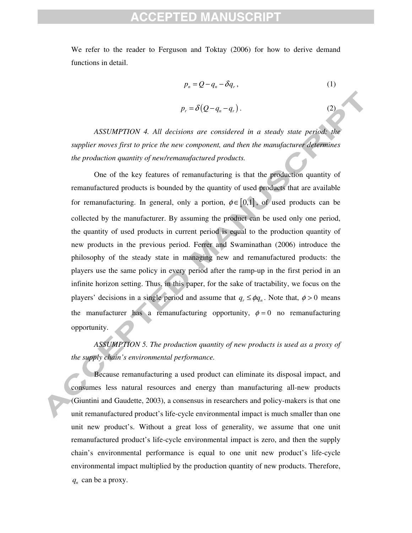We refer to the reader to Ferguson and Toktay (2006) for how to derive demand functions in detail.

$$
p_n = Q - q_n - \delta q_r, \qquad (1)
$$
  

$$
p_r = \delta(Q - q_n - q_r).
$$
 (2)

*ASSUMPTION 4. All decisions are considered in a steady state period: the supplier moves first to price the new component, and then the manufacturer determines the production quantity of new/remanufactured products.* 

One of the key features of remanufacturing is that the production quantity of remanufactured products is bounded by the quantity of used products that are available for remanufacturing. In general, only a portion,  $\phi \in [0,1]$ , of used products can be collected by the manufacturer. By assuming the product can be used only one period, the quantity of used products in current period is equal to the production quantity of new products in the previous period. Ferrer and Swaminathan (2006) introduce the philosophy of the steady state in managing new and remanufactured products: the players use the same policy in every period after the ramp-up in the first period in an infinite horizon setting. Thus, in this paper, for the sake of tractability, we focus on the players' decisions in a single period and assume that  $q_r \leq \phi q_n$ . Note that,  $\phi > 0$  means the manufacturer has a remanufacturing opportunity,  $\phi = 0$  no remanufacturing opportunity.

*ASSUMPTION 5. The production quantity of new products is used as a proxy of the supply chain's environmental performance.* 

Because remanufacturing a used product can eliminate its disposal impact, and consumes less natural resources and energy than manufacturing all-new products (Giuntini and Gaudette, 2003), a consensus in researchers and policy-makers is that one unit remanufactured product's life-cycle environmental impact is much smaller than one unit new product's. Without a great loss of generality, we assume that one unit remanufactured product's life-cycle environmental impact is zero, and then the supply chain's environmental performance is equal to one unit new product's life-cycle environmental impact multiplied by the production quantity of new products. Therefore,  $q_n$  can be a proxy.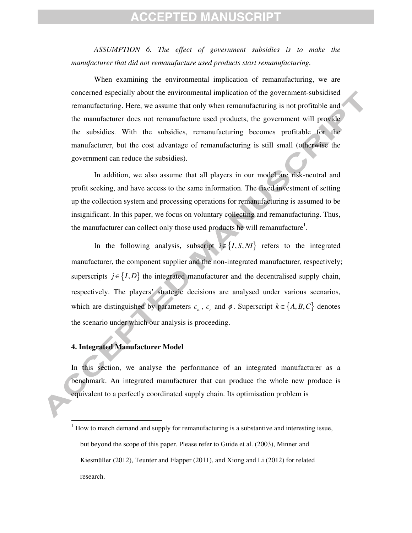*ASSUMPTION 6. The effect of government subsidies is to make the manufacturer that did not remanufacture used products start remanufacturing.* 

When examining the environmental implication of remanufacturing, we are concerned especially about the environmental implication of the government-subsidised remanufacturing. Here, we assume that only when remanufacturing is not profitable and the manufacturer does not remanufacture used products, the government will provide the subsidies. With the subsidies, remanufacturing becomes profitable for the manufacturer, but the cost advantage of remanufacturing is still small (otherwise the government can reduce the subsidies).

In addition, we also assume that all players in our model are risk-neutral and profit seeking, and have access to the same information. The fixed investment of setting up the collection system and processing operations for remanufacturing is assumed to be insignificant. In this paper, we focus on voluntary collecting and remanufacturing. Thus, the manufacturer can collect only those used products he will remanufacture<sup>1</sup>.

In the following analysis, subscript  $i \in \{I, S, NI\}$  refers to the integrated manufacturer, the component supplier and the non-integrated manufacturer, respectively; superscripts  $j \in \{I, D\}$  the integrated manufacturer and the decentralised supply chain, respectively. The players' strategic decisions are analysed under various scenarios, which are distinguished by parameters  $c_n$ ,  $c_r$  and  $\phi$ . Superscript  $k \in \{A, B, C\}$  denotes the scenario under which our analysis is proceeding.

#### **4. Integrated Manufacturer Model**

 $\ddot{\phantom{a}}$ 

In this section, we analyse the performance of an integrated manufacturer as a benchmark. An integrated manufacturer that can produce the whole new produce is equivalent to a perfectly coordinated supply chain. Its optimisation problem is

 $<sup>1</sup>$  How to match demand and supply for remanufacturing is a substantive and interesting issue,</sup> but beyond the scope of this paper. Please refer to Guide et al. (2003), Minner and Kiesmüller (2012), Teunter and Flapper (2011), and Xiong and Li (2012) for related research.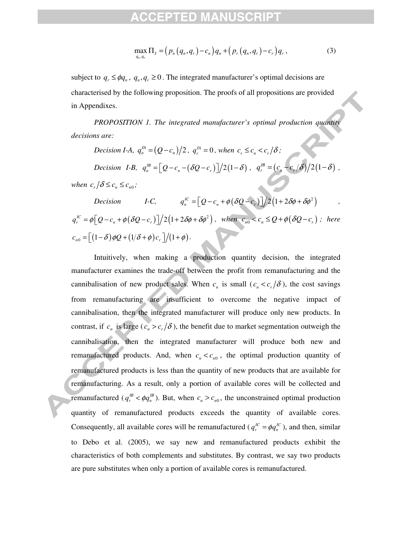### **CCEPTED MANUS**

$$
\max_{q_n, q_r} \Pi_1 = (p_n(q_n, q_r) - c_n) q_n + (p_r(q_n, q_r) - c_r) q_r, \tag{3}
$$

subject to  $q_r \leq \phi q_n$ ,  $q_n, q_r \geq 0$ . The integrated manufacturer's optimal decisions are characterised by the following proposition. The proofs of all propositions are provided in Appendixes.

*PROPOSITION 1. The integrated manufacturer's optimal production quantity decisions are:* 

*Decision I-A,*  $q_n^{\mu} = (Q - c_n)/2$ ,  $q_r^{\mu} = 0$ , when  $c_r \leq c_n < c_r/\delta$ ; *Decision I-B*,  $q_n^B = [Q - c_n - (\delta Q - c_r)]/2(1 - \delta)$ ,  $q_r^B = (c_n - c_r/\delta)/2(1 - \delta)$ , *when*  $c_r / \delta \leq c_n \leq c_{n0}$ ;

*Decision I-C*,  $q_n^{IC} = \left[ Q - c_n + \phi(\delta Q - c_r) \right] / 2 \left( 1 + 2 \delta \phi + \delta \phi^2 \right)$ ,  $q_r^{IC} = \phi \Big[Q - c_n + \phi (\delta Q - c_r)\Big]/2(1 + 2\delta\phi + \delta\phi^2)$ , when  $c_{n0} < c_n \le Q + \phi (\delta Q - c_r)$ ; here  $c_{n0} = \left[ \left( 1 - \delta \right) \phi Q + \left( 1/\delta + \phi \right) c_r \right] / \left( 1 + \phi \right).$ 

Intuitively, when making a production quantity decision, the integrated manufacturer examines the trade-off between the profit from remanufacturing and the cannibalisation of new product sales. When  $c_n$  is small  $(c_n < c_r/\delta)$ , the cost savings from remanufacturing are insufficient to overcome the negative impact of cannibalisation, then the integrated manufacturer will produce only new products. In contrast, if  $c_n$  is large ( $c_n > c_n / \delta$ ), the benefit due to market segmentation outweigh the cannibalisation, then the integrated manufacturer will produce both new and remanufactured products. And, when  $c_n < c_{n0}$ , the optimal production quantity of remanufactured products is less than the quantity of new products that are available for remanufacturing. As a result, only a portion of available cores will be collected and remanufactured  $(q_i^B < \phi q_n^B)$ . But, when  $c_n > c_{n0}$ , the unconstrained optimal production quantity of remanufactured products exceeds the quantity of available cores. Consequently, all available cores will be remanufactured ( $q_r^{\prime c} = \phi q_n^{\prime c}$ ), and then, similar to Debo et al. (2005), we say new and remanufactured products exhibit the characteristics of both complements and substitutes. By contrast, we say two products are pure substitutes when only a portion of available cores is remanufactured.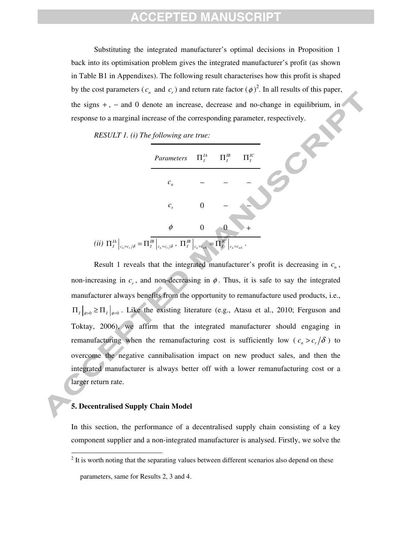### CCEPTED MANUSC

Substituting the integrated manufacturer's optimal decisions in Proposition 1 back into its optimisation problem gives the integrated manufacturer's profit (as shown in Table B1 in Appendixes). The following result characterises how this profit is shaped by the cost parameters ( $c_n$  and  $c_r$ ) and return rate factor ( $\phi$ )<sup>2</sup>. In all results of this paper, the signs  $+$ ,  $-$  and 0 denote an increase, decrease and no-change in equilibrium, in response to a marginal increase of the corresponding parameter, respectively.

*RESULT 1. (i) The following are true:* 



Result 1 reveals that the integrated manufacturer's profit is decreasing in  $c_n$ , non-increasing in  $c_r$ , and non-decreasing in  $\phi$ . Thus, it is safe to say the integrated manufacturer always benefits from the opportunity to remanufacture used products, i.e.,  $\Pi_I|_{\phi>0} \geq \Pi_I|_{\phi=0}$ . Like the existing literature (e.g., Atasu et al., 2010; Ferguson and Toktay, 2006), we affirm that the integrated manufacturer should engaging in remanufacturing when the remanufacturing cost is sufficiently low ( $c_n > c_r/\delta$ ) to overcome the negative cannibalisation impact on new product sales, and then the integrated manufacturer is always better off with a lower remanufacturing cost or a larger return rate.

#### **5. Decentralised Supply Chain Model**

In this section, the performance of a decentralised supply chain consisting of a key component supplier and a non-integrated manufacturer is analysed. Firstly, we solve the

<sup>&</sup>lt;sup>2</sup> It is worth noting that the separating values between different scenarios also depend on these

parameters, same for Results 2, 3 and 4.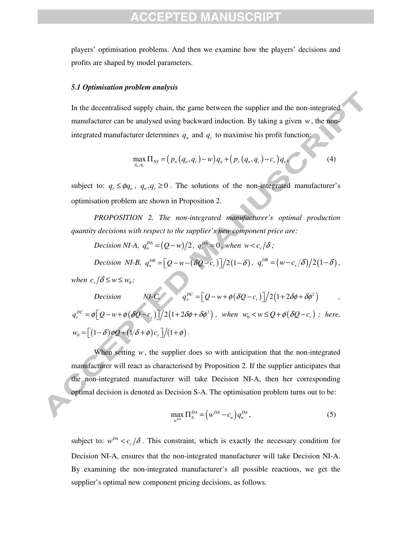### **CCEPTED MANU**

players' optimisation problems. And then we examine how the players' decisions and profits are shaped by model parameters.

#### *5.1 Optimisation problem analysis*

In the decentralised supply chain, the game between the supplier and the non-integrated manufacturer can be analysed using backward induction. By taking a given *w*, the nonintegrated manufacturer determines  $q_n$  and  $q_r$  to maximise his profit function:

$$
\max_{q_n, q_r} \Pi_M = (p_n(q_n, q_r) - w) q_n + (p_r(q_n, q_r) - c_r) q_r,
$$
\n(4)

subject to:  $q_r \le \phi q_n$ ,  $q_n, q_r \ge 0$ . The solutions of the non-integrated manufacturer's optimisation problem are shown in Proposition 2.

*PROPOSITION 2. The non-integrated manufacturer's optimal production quantity decisions with respect to the supplier's new component price are:* 

*Decision NI-A,*  $q_n^{DA} = (Q - w)/2$ ,  $q_r^{DA} = 0$ , when  $w < c_r/\delta$ ;

*Decision NI-B,*  $q_n^{DB} = \left[Q - w - (\delta Q - c_r)\right]/2(1 - \delta)$ ,  $q_r^{DB} = \left(w - c_r/\delta\right)/2(1 - \delta)$ ,

*when*  $c_r / \delta \leq w \leq w_0$ ;

*Decision* 
$$
NI-C
$$
,  $q_n^{DC} = [Q - w + \phi(\delta Q - c_r)]/2(1 + 2\delta\phi + \delta\phi^2)$ ,  
\n $q_r^{DC} = \phi [Q - w + \phi(\delta Q - c_r)]/2(1 + 2\delta\phi + \delta\phi^2)$ , when  $w_0 < w \le Q + \phi(\delta Q - c_r)$ ; here,  
\n $w_0 = [(1 - \delta)\phi Q + (1/\delta + \phi)c_r]/(1 + \phi)$ .

When setting  $w$ , the supplier does so with anticipation that the non-integrated manufacturer will react as characterised by Proposition 2. If the supplier anticipates that the non-integrated manufacturer will take Decision NI-A, then her corresponding optimal decision is denoted as Decision S-A. The optimisation problem turns out to be:

$$
\max_{w^{DA}} \Pi_S^{DA} = \left( w^{DA} - c_n \right) q_n^{DA},\tag{5}
$$

subject to:  $w^{DA} < c_r/\delta$ . This constraint, which is exactly the necessary condition for Decision NI-A, ensures that the non-integrated manufacturer will take Decision NI-A. By examining the non-integrated manufacturer's all possible reactions, we get the supplier's optimal new component pricing decisions, as follows.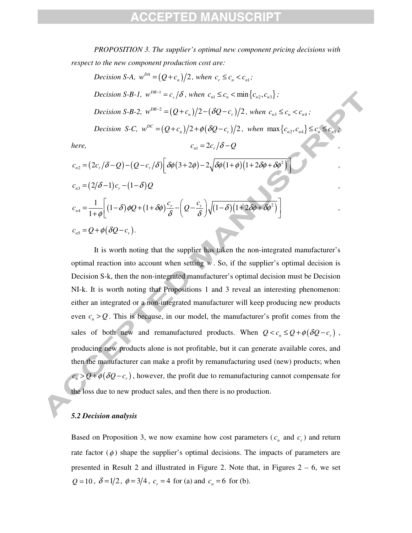*PROPOSITION 3. The supplier's optimal new component pricing decisions with respect to the new component production cost are:* 

Decision S-A, 
$$
w^{DA} = (Q + c_n)/2
$$
, when  $c_r \le c_n < c_{n1}$ ;  
\nDecision S-B-I,  $w^{DB-1} = c_r/\delta$ , when  $c_{n1} \le c_n < \min\{c_{n2}, c_{n3}\}$ ;  
\nDecision S-B-2,  $w^{DB-2} = (Q + c_n)/2 - (\delta Q - c_r)/2$ , when  $c_{n3} \le c_n < c_{n4}$ ;  
\nDecision S-C,  $w^{DC} = (Q + c_n)/2 + \phi(\delta Q - c_r)/2$ , when  $\max\{c_{n2}, c_{n4}\} \le c_n \le c_{n5}$ ;  
\nhere,  
\n $c_{n1} = 2c_r/\delta - Q$   
\n $c_{n2} = (2c_r/\delta - Q) - (Q - c_r/\delta) \left[ \delta\phi(3 + 2\phi) - 2\sqrt{\delta\phi(1 + \phi)(1 + 2\delta\phi + \delta\phi^2)} \right]$   
\n $c_{n3} = (2/\delta - 1)c_r - (1 - \delta)Q$   
\n $c_{n4} = \frac{1}{1+\phi} \left[ (1-\delta)\phi Q + (1+\delta\phi)\frac{c_r}{\delta} - \left(Q - \frac{c_r}{\delta}\right)\sqrt{(1-\delta)(1 + 2\delta\phi + \delta\phi^2)} \right]$   
\n $c_{n5} = Q + \phi(\delta Q - c_r)$ .

It is worth noting that the supplier has taken the non-integrated manufacturer's optimal reaction into account when setting *w*. So, if the supplier's optimal decision is Decision S-k, then the non-integrated manufacturer's optimal decision must be Decision NI-k. It is worth noting that Propositions 1 and 3 reveal an interesting phenomenon: either an integrated or a non-integrated manufacturer will keep producing new products even  $c_n > Q$ . This is because, in our model, the manufacturer's profit comes from the sales of both new and remanufactured products. When  $Q < c_n \le Q + \phi(\delta Q - c_r)$ , producing new products alone is not profitable, but it can generate available cores, and then the manufacturer can make a profit by remanufacturing used (new) products; when  $c_n > Q + \phi(\delta Q - c_r)$ , however, the profit due to remanufacturing cannot compensate for the loss due to new product sales, and then there is no production.

#### *5.2 Decision analysis*

Based on Proposition 3, we now examine how cost parameters  $(c_n$  and  $c_r$ ) and return rate factor  $(\phi)$  shape the supplier's optimal decisions. The impacts of parameters are presented in Result 2 and illustrated in Figure 2. Note that, in Figures  $2 - 6$ , we set *Q* = 10,  $\delta = 1/2$ ,  $\phi = 3/4$ ,  $c_r = 4$  for (a) and  $c_n = 6$  for (b).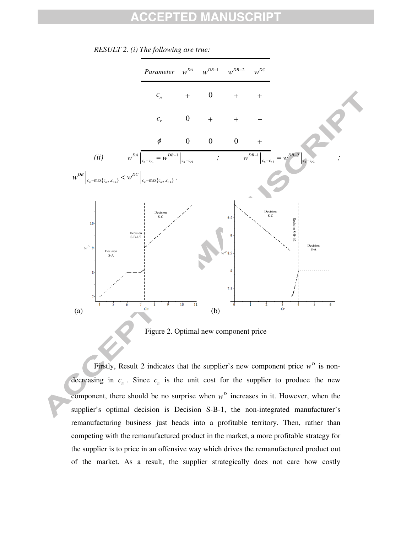#### **ISCRIPT** CCEPTED MAI NU



*RESULT 2. (i) The following are true:* 

Figure 2. Optimal new component price

Firstly, Result 2 indicates that the supplier's new component price  $w<sup>D</sup>$  is nondecreasing in  $c_n$ . Since  $c_n$  is the unit cost for the supplier to produce the new component, there should be no surprise when  $w<sup>D</sup>$  increases in it. However, when the supplier's optimal decision is Decision S-B-1, the non-integrated manufacturer's remanufacturing business just heads into a profitable territory. Then, rather than competing with the remanufactured product in the market, a more profitable strategy for the supplier is to price in an offensive way which drives the remanufactured product out of the market. As a result, the supplier strategically does not care how costly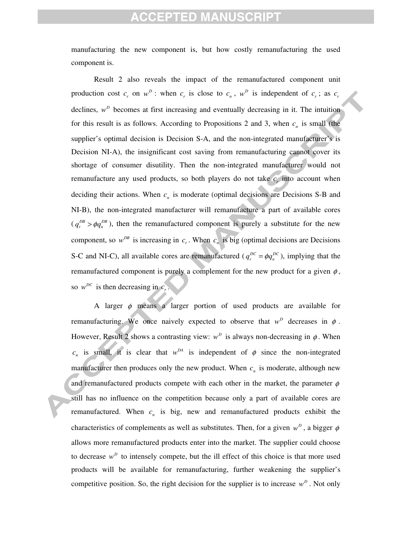manufacturing the new component is, but how costly remanufacturing the used component is.

Result 2 also reveals the impact of the remanufactured component unit production cost  $c_r$  on  $w^D$ : when  $c_r$  is close to  $c_n$ ,  $w^D$  is independent of  $c_r$ ; as  $c_r$ declines,  $w<sup>D</sup>$  becomes at first increasing and eventually decreasing in it. The intuition for this result is as follows. According to Propositions 2 and 3, when  $c_n$  is small (the supplier's optimal decision is Decision S-A, and the non-integrated manufacturer's is Decision NI-A), the insignificant cost saving from remanufacturing cannot cover its shortage of consumer disutility. Then the non-integrated manufacturer would not remanufacture any used products, so both players do not take  $c_r$  into account when deciding their actions. When  $c<sub>n</sub>$  is moderate (optimal decisions are Decisions S-B and NI-B), the non-integrated manufacturer will remanufacture a part of available cores  $(q_r^{DB} > \phi q_n^{DB})$ , then the remanufactured component is purely a substitute for the new component, so  $w^{DB}$  is increasing in  $c_r$ . When  $c_n$  is big (optimal decisions are Decisions S-C and NI-C), all available cores are remanufactured ( $q_r^{DC} = \phi q_n^{DC}$ ), implying that the remanufactured component is purely a complement for the new product for a given  $\phi$ , so  $w^{DC}$  is then decreasing in *c*.

A larger  $\phi$  means a larger portion of used products are available for remanufacturing. We once naively expected to observe that  $w<sup>D</sup>$  decreases in  $\phi$ . However, Result 2 shows a contrasting view:  $w^D$  is always non-decreasing in  $\phi$ . When  $c_n$  is small, it is clear that  $w^{DA}$  is independent of  $\phi$  since the non-integrated manufacturer then produces only the new product. When  $c<sub>n</sub>$  is moderate, although new and remanufactured products compete with each other in the market, the parameter  $\phi$ still has no influence on the competition because only a part of available cores are remanufactured. When  $c_n$  is big, new and remanufactured products exhibit the characteristics of complements as well as substitutes. Then, for a given  $w^D$ , a bigger  $\phi$ allows more remanufactured products enter into the market. The supplier could choose to decrease  $w<sup>D</sup>$  to intensely compete, but the ill effect of this choice is that more used products will be available for remanufacturing, further weakening the supplier's competitive position. So, the right decision for the supplier is to increase  $w^D$ . Not only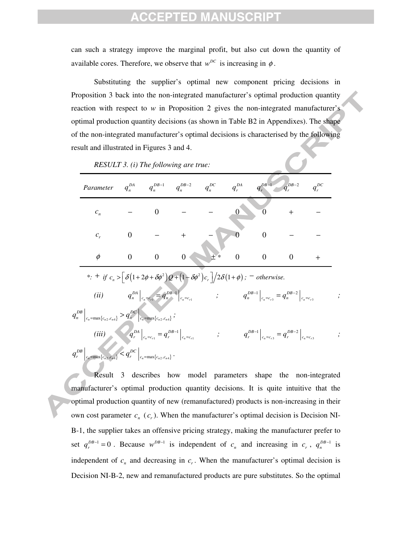can such a strategy improve the marginal profit, but also cut down the quantity of available cores. Therefore, we observe that  $w^{DC}$  is increasing in  $\phi$ .

Substituting the supplier's optimal new component pricing decisions in Proposition 3 back into the non-integrated manufacturer's optimal production quantity reaction with respect to  $w$  in Proposition 2 gives the non-integrated manufacturer's optimal production quantity decisions (as shown in Table B2 in Appendixes). The shape of the non-integrated manufacturer's optimal decisions is characterised by the following result and illustrated in Figures 3 and 4.

| Parameter $q_n^{DA}$ | $q^{DB-1}_n$ | $q_n^{DB-2}$ | $q_n^{DC}$ | $q_r^{DA}$ | $q_r^{DB-1}$ | $q_r^{DB-2}$ | $q_r^{DC}$ |
|----------------------|--------------|--------------|------------|------------|--------------|--------------|------------|
| $c_n$                |              |              |            |            |              |              |            |
| $\mathcal{C}$        |              |              |            |            |              |              |            |
|                      |              |              | $*$        |            |              |              |            |

*RESULT 3. (i) The following are true:* 

 $\overline{OB}$ 

$$
* : + if cn > [\delta(1+2\phi+\delta\phi^2)Q + (1-\delta\phi^2)cr] / 2\delta(1+\phi) : - otherwise.
$$

(*ii*)  $q_n^{DA}\Big|_{c_n = c_{r1}} = q_n^{DB-1}\Big|_{c_n = c_{r1}}$  $r_n = c_{r1}$   $\cdots$   $c_n = c_r$  $q_n^{DA}\Big|_{c_n=c_{r1}} = q_n^{DB-1}\Big|_{c_n=c_{r1}}$  ;  $q_n^{DB-1}\Big|_{c_n=c_{r3}} = q_n^{DB-2}\Big|_{c_n=c_{r3}}$  $c_n = c_{r3}$  **r**  $n$   $c_n = c_r$  $q_n^{DB-1}\Big|_{c_n=c_{r3}} = q_n^{DB-2}\Big|_{c_n=c_{r3}}$  ;

$$
q_r^{DB}\Big|_{c_n=\max\{c_{n2},c_{n4}\}} > q_r^{DC}\Big|_{c_n=\max\{c_{n2},c_{n4}\}};
$$
  
\n(iii)  
\n
$$
q_r^{DA}\Big|_{c_n=c_{r1}} = q_r^{DB-1}\Big|_{c_n=c_{r1}};
$$
  
\n
$$
q_r^{DB}\Big|_{c_n=c_{r3}} = q_r^{DB-2}\Big|_{c_n=c_{r3}}
$$
  
\n
$$
q_r^{DB}\Big|_{c_n=\max\{c_{n2},c_{n4}\}}.
$$
  
\n(iii)  
\n
$$
q_r^{DA}\Big|_{c_n=c_{r1}}
$$
  
\n(iv)  
\n
$$
q_r^{DB-1}\Big|_{c_n=c_{r3}} = q_r^{DB-2}\Big|_{c_n=c_{r3}}
$$

Result 3 describes how model parameters shape the non-integrated manufacturer's optimal production quantity decisions. It is quite intuitive that the optimal production quantity of new (remanufactured) products is non-increasing in their own cost parameter  $c_n$  ( $c_r$ ). When the manufacturer's optimal decision is Decision NI-B-1, the supplier takes an offensive pricing strategy, making the manufacturer prefer to set  $q_r^{DB-1} = 0$ . Because  $w^{DB-1}$  is independent of  $c_n$  and increasing in  $c_r$ ,  $q_n^{DB-1}$  is independent of  $c_n$  and decreasing in  $c_r$ . When the manufacturer's optimal decision is Decision NI-B-2, new and remanufactured products are pure substitutes. So the optimal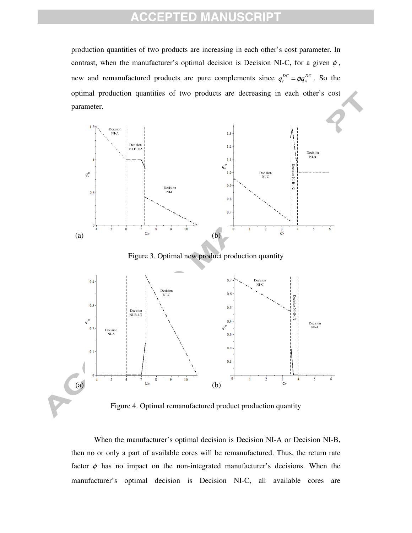production quantities of two products are increasing in each other's cost parameter. In contrast, when the manufacturer's optimal decision is Decision NI-C, for a given  $\phi$ , new and remanufactured products are pure complements since  $q_r^{DC} = \phi q_n^{DC}$ . So the optimal production quantities of two products are decreasing in each other's cost parameter.



Figure 3. Optimal new product production quantity



Figure 4. Optimal remanufactured product production quantity

When the manufacturer's optimal decision is Decision NI-A or Decision NI-B, then no or only a part of available cores will be remanufactured. Thus, the return rate factor  $\phi$  has no impact on the non-integrated manufacturer's decisions. When the manufacturer's optimal decision is Decision NI-C, all available cores are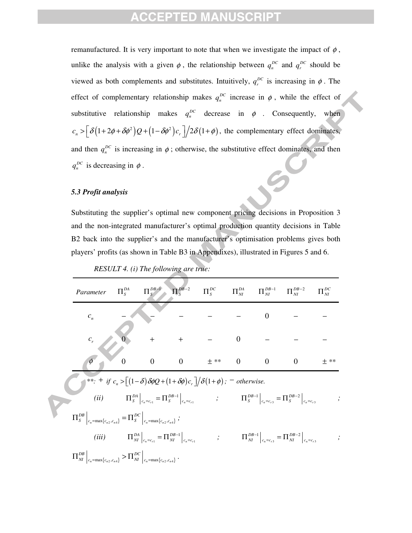### CCEPTED MANU

remanufactured. It is very important to note that when we investigate the impact of  $\phi$ , unlike the analysis with a given  $\phi$ , the relationship between  $q_n^{DC}$  and  $q_r^{DC}$  should be viewed as both complements and substitutes. Intuitively,  $q_r^{DC}$  is increasing in  $\phi$ . The effect of complementary relationship makes  $q_n^{DC}$  increase in  $\phi$ , while the effect of substitutive relationship makes  $q_n^{DC}$  decrease in  $\phi$  . Consequently, when  $(c_n > [\delta(1+2\phi+\delta\phi^2)Q+(1-\delta\phi^2)c_r]/2\delta(1+\phi)$ , the complementary effect dominates, and then  $q_n^{DC}$  is increasing in  $\phi$ ; otherwise, the substitutive effect dominates, and then  $q_n^{DC}$  is decreasing in  $\phi$ .

#### *5.3 Profit analysis*

Substituting the supplier's optimal new component pricing decisions in Proposition 3 and the non-integrated manufacturer's optimal production quantity decisions in Table B2 back into the supplier's and the manufacturer's optimisation problems gives both players' profits (as shown in Table B3 in Appendixes), illustrated in Figures 5 and 6.

*RESULT 4. (i) The following are true:* 

| Parameter $\Pi_S^{DA}$ $\Pi_S^{DB-1}$ $\Pi_S^{DB-2}$ $\Pi_S^{DC}$ $\Pi_M^{DA}$ $\Pi_M^{DB-1}$ $\Pi_M^{DB-2}$ $\Pi_M^{DC}$ |          |                |                |                                                                                             |                  |          |                                                                                                                                                         |         |
|---------------------------------------------------------------------------------------------------------------------------|----------|----------------|----------------|---------------------------------------------------------------------------------------------|------------------|----------|---------------------------------------------------------------------------------------------------------------------------------------------------------|---------|
| $c_n$                                                                                                                     |          |                |                |                                                                                             |                  | $\Omega$ |                                                                                                                                                         |         |
| $c_{r}$                                                                                                                   |          | $+$ $+$        |                |                                                                                             | $\boldsymbol{0}$ |          |                                                                                                                                                         |         |
| $\phi$                                                                                                                    | $\theta$ | $\overline{0}$ | $\overline{0}$ | $\pm$ ** 0                                                                                  |                  | $\theta$ | $\Omega$                                                                                                                                                | $+ * *$ |
|                                                                                                                           |          |                |                | **: + if $c_n > [(1-\delta)\delta\phi Q + (1+\delta\phi)c_r]/\delta(1+\phi)$ ; - otherwise. |                  |          |                                                                                                                                                         |         |
|                                                                                                                           |          |                |                |                                                                                             |                  |          | (ii) $\Pi_S^{DA}\Big _{c_n=c_{r1}} = \Pi_S^{DB-1}\Big _{c_n=c_{r1}}$ ; $\Pi_S^{DB-1}\Big _{c_n=c_{r3}} = \Pi_S^{DB-2}\Big _{c_n=c_{r3}}$                |         |
| $\left.\Pi_{S}^{DB}\right _{c_n=\max\{c_n, c_{n4}\}}=\Pi_{S}^{DC}\left _{c_n=\max\{c_n, c_{n4}\}}\right.\,;$              |          |                |                |                                                                                             |                  |          |                                                                                                                                                         |         |
|                                                                                                                           |          |                |                |                                                                                             |                  |          | (iii) $\Pi_{NI}^{DA}\Big _{c_n=c_{r1}} = \Pi_{NI}^{DB-1}\Big _{c_n=c_{r1}}$ ; $\Pi_{NI}^{DB-1}\Big _{c_n=c_{r3}} = \Pi_{NI}^{DB-2}\Big _{c_n=c_{r3}}$ ; |         |
| $\left.\prod_{NI}\right _{c_{n}=\max\{c_{n},c_{n4}\}} > \prod_{NI}\left _{c_{n}=\max\{c_{n},c_{n4}\}}\right .$            |          |                |                |                                                                                             |                  |          |                                                                                                                                                         |         |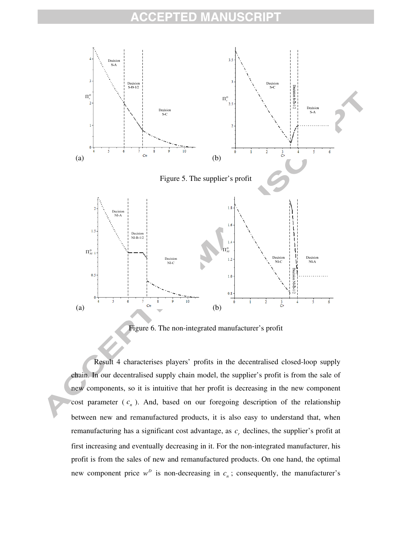

Figure 6. The non-integrated manufacturer's profit

Result 4 characterises players' profits in the decentralised closed-loop supply chain. In our decentralised supply chain model, the supplier's profit is from the sale of new components, so it is intuitive that her profit is decreasing in the new component cost parameter  $(c_n)$ . And, based on our foregoing description of the relationship between new and remanufactured products, it is also easy to understand that, when remanufacturing has a significant cost advantage, as  $c_r$  declines, the supplier's profit at first increasing and eventually decreasing in it. For the non-integrated manufacturer, his profit is from the sales of new and remanufactured products. On one hand, the optimal new component price  $w^D$  is non-decreasing in  $c_n$ ; consequently, the manufacturer's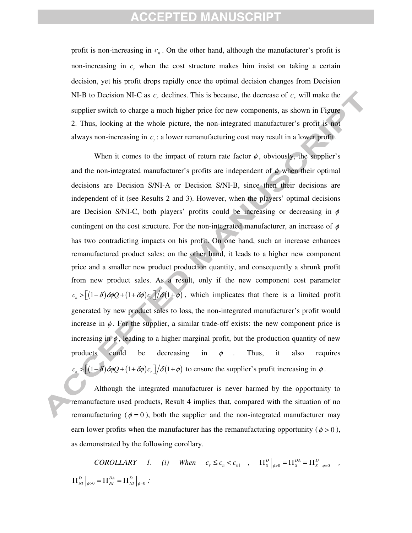profit is non-increasing in  $c_n$ . On the other hand, although the manufacturer's profit is non-increasing in  $c_r$  when the cost structure makes him insist on taking a certain decision, yet his profit drops rapidly once the optimal decision changes from Decision NI-B to Decision NI-C as  $c<sub>r</sub>$  declines. This is because, the decrease of  $c<sub>r</sub>$  will make the supplier switch to charge a much higher price for new components, as shown in Figure 2. Thus, looking at the whole picture, the non-integrated manufacturer's profit is not always non-increasing in *<sup>r</sup> c* : a lower remanufacturing cost may result in a lower profit.

When it comes to the impact of return rate factor  $\phi$ , obviously, the supplier's and the non-integrated manufacturer's profits are independent of  $\phi$  when their optimal decisions are Decision S/NI-A or Decision S/NI-B, since then their decisions are independent of it (see Results 2 and 3). However, when the players' optimal decisions are Decision S/NI-C, both players' profits could be increasing or decreasing in  $\phi$ contingent on the cost structure. For the non-integrated manufacturer, an increase of  $\phi$ has two contradicting impacts on his profit. On one hand, such an increase enhances remanufactured product sales; on the other hand, it leads to a higher new component price and a smaller new product production quantity, and consequently a shrunk profit from new product sales. As a result, only if the new component cost parameter  $c_n > [(1-\delta)\delta\phi Q + (1+\delta\phi)c_r]/\delta(1+\phi)$ , which implicates that there is a limited profit generated by new product sales to loss, the non-integrated manufacturer's profit would increase in  $\phi$ . For the supplier, a similar trade-off exists: the new component price is increasing in  $\phi$ , leading to a higher marginal profit, but the production quantity of new products could be decreasing in  $\phi$  . Thus, it also requires  $c_n > [(1-\delta)\delta\phi Q + (1+\delta\phi)c_r]/\delta(1+\phi)$  to ensure the supplier's profit increasing in  $\phi$ .

Although the integrated manufacturer is never harmed by the opportunity to remanufacture used products, Result 4 implies that, compared with the situation of no remanufacturing ( $\phi = 0$ ), both the supplier and the non-integrated manufacturer may earn lower profits when the manufacturer has the remanufacturing opportunity ( $\phi > 0$ ), as demonstrated by the following corollary.

*COROLLARY 1.* (i) When  $c_r \le c_n < c_{n1}$ ,  $\Pi_s^D|_{\phi>0} = \Pi_s^{DA} = \Pi_s^D|_{\phi=0}$ ,  $\prod_{N I}^{D} \left|_{\phi > 0} \right. = \prod_{N I}^{D A} = \prod_{N I}^{D} \left|_{\phi = 0} \right.$ ;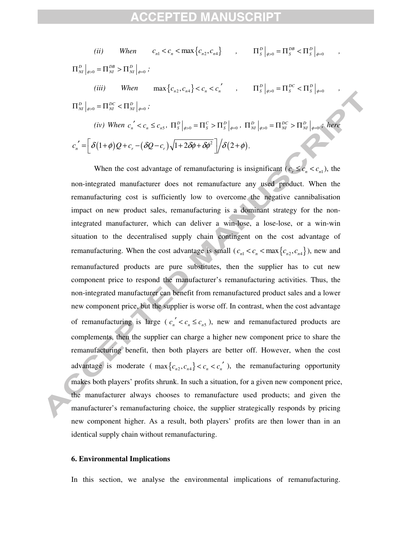$$
(ii) \tWhen \t c_{n1} < c_{n} < \max\left\{c_{n2}, c_{n4}\right\} , \t\t\Pi_{S}^{D}|_{\phi>0} = \Pi_{S}^{DB} < \Pi_{S}^{D}|_{\phi=0} ,
$$
\n
$$
\Pi_{N1}^{D}|_{\phi>0} = \Pi_{N1}^{DB} > \Pi_{N1}^{D}|_{\phi=0} ;
$$
\n
$$
(iii) \tWhen \t max\left\{c_{n2}, c_{n4}\right\} < c_{n} < c_{n}^{'}, \t\t\Pi_{S}^{D}|_{\phi>0} = \Pi_{S}^{DC} < \Pi_{S}^{D}|_{\phi=0} ,
$$
\n
$$
\Pi_{N1}^{D}|_{\phi>0} = \Pi_{N1}^{DC} < \Pi_{N1}^{D}|_{\phi=0} ;
$$
\n
$$
(iv) \tWhen \t c_{n}^{'} < c_{n} \leq c_{n5}, \tH_{S}^{D}|_{\phi>0} = \Pi_{S}^{C} > \Pi_{S}^{D}|_{\phi=0}, \tH_{N1}^{D}|_{\phi>0} = \Pi_{N1}^{DC} > \Pi_{N1}^{D}|_{\phi=0} ; \t hence
$$
\n
$$
c_{n}^{'} = \left[ \delta(1+\phi)Q + c_{r} - (\delta Q - c_{r})\sqrt{1+2\delta\phi+\delta\phi^{2}} \right] / \delta(2+\phi).
$$

When the cost advantage of remanufacturing is insignificant  $(c_r \leq c_n < c_{n_1})$ , the non-integrated manufacturer does not remanufacture any used product. When the remanufacturing cost is sufficiently low to overcome the negative cannibalisation impact on new product sales, remanufacturing is a dominant strategy for the nonintegrated manufacturer, which can deliver a win-lose, a lose-lose, or a win-win situation to the decentralised supply chain contingent on the cost advantage of remanufacturing. When the cost advantage is small ( $c_{n1} < c_n < \max\{c_{n2}, c_{n4}\}$ ), new and remanufactured products are pure substitutes, then the supplier has to cut new component price to respond the manufacturer's remanufacturing activities. Thus, the non-integrated manufacturer can benefit from remanufactured product sales and a lower new component price, but the supplier is worse off. In contrast, when the cost advantage of remanufacturing is large ( $c_n' < c_n \leq c_n$ ), new and remanufactured products are complements, then the supplier can charge a higher new component price to share the remanufacturing benefit, then both players are better off. However, when the cost advantage is moderate (  $\max\{c_{n_1}, c_{n_2}, c_{n_3}\} < c_n < c'_n$  ), the remanufacturing opportunity makes both players' profits shrunk. In such a situation, for a given new component price, the manufacturer always chooses to remanufacture used products; and given the manufacturer's remanufacturing choice, the supplier strategically responds by pricing new component higher. As a result, both players' profits are then lower than in an identical supply chain without remanufacturing.

#### **6. Environmental Implications**

In this section, we analyse the environmental implications of remanufacturing.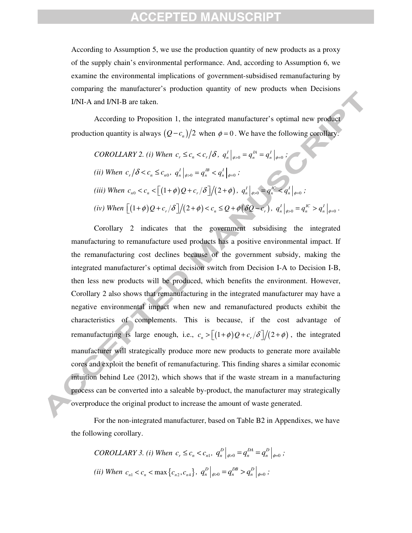According to Assumption 5, we use the production quantity of new products as a proxy of the supply chain's environmental performance. And, according to Assumption 6, we examine the environmental implications of government-subsidised remanufacturing by comparing the manufacturer's production quantity of new products when Decisions I/NI-A and I/NI-B are taken.

According to Proposition 1, the integrated manufacturer's optimal new product production quantity is always  $(Q - c_n)/2$  when  $\phi = 0$ . We have the following corollary.

*COROLLARY 2.* (i) When 
$$
c_r \leq c_n < c_r / \delta
$$
,  $q_n^l \big|_{\phi > 0} = q_n^{lA} = q_n^l \big|_{\phi = 0}$ ;

\n(ii) When  $c_r / \delta < c_n \leq c_{n0}$ ,  $q_n^l \big|_{\phi > 0} = q_n^{lB} < q_n^l \big|_{\phi = 0}$ ;

\n(iii) When  $c_{n0} < c_n < \big[ (1 + \phi)Q + c_r / \delta \big] / (2 + \phi)$ ,  $q_n^l \big|_{\phi > 0} = q_n^{lC} < q_n^l \big|_{\phi = 0}$ ;

\n(iv) When  $\big[ (1 + \phi)Q + c_r / \delta \big] / (2 + \phi) < c_n \leq Q + \phi \big( \delta Q - c_r \big)$ ,  $q_n^l \big|_{\phi > 0} = q_n^{lC} > q_n^l \big|_{\phi = 0}$ .

Corollary 2 indicates that the government subsidising the integrated manufacturing to remanufacture used products has a positive environmental impact. If the remanufacturing cost declines because of the government subsidy, making the integrated manufacturer's optimal decision switch from Decision I-A to Decision I-B, then less new products will be produced, which benefits the environment. However, Corollary 2 also shows that remanufacturing in the integrated manufacturer may have a negative environmental impact when new and remanufactured products exhibit the characteristics of complements. This is because, if the cost advantage of remanufacturing is large enough, i.e.,  $c_n > [(1+\phi)Q + c_r/\delta]/(2+\phi)$ , the integrated manufacturer will strategically produce more new products to generate more available cores and exploit the benefit of remanufacturing. This finding shares a similar economic intuition behind Lee (2012), which shows that if the waste stream in a manufacturing process can be converted into a saleable by-product, the manufacturer may strategically overproduce the original product to increase the amount of waste generated.

For the non-integrated manufacturer, based on Table B2 in Appendixes, we have the following corollary.

COROLLARY 3. (i) When 
$$
c_r \le c_n < c_{n1}
$$
,  $q_n^D \big|_{\phi > 0} = q_n^{DA} = q_n^D \big|_{\phi = 0}$ ;  
\n(ii) When  $c_{n1} < c_n < \max\{c_{n2}, c_{n4}\}$ ,  $q_n^D \big|_{\phi > 0} = q_n^{DB} > q_n^D \big|_{\phi = 0}$ ;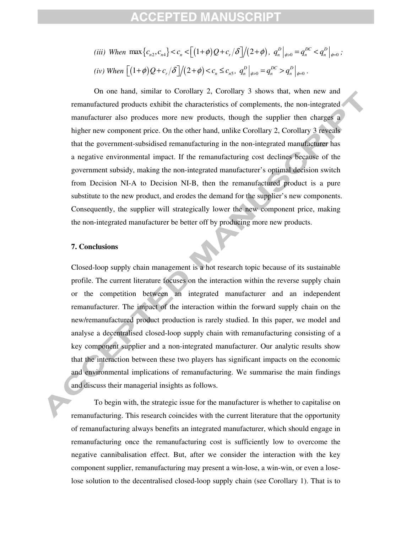### CEPTED MANUS

$$
\begin{aligned} \n\text{(iii) When } \max\left\{c_{n2}, c_{n4}\right\} &< c_n < \left[ \left(1+\phi\right)Q + c_r/\delta \right] \n\middle/ \left(2+\phi\right), \ q_n^D \big|_{\phi>0} = q_n^{DC} < q_n^D \big|_{\phi=0} \n\end{aligned};
$$
\n
$$
\text{(iv) When } \left[ \left(1+\phi\right)Q + c_r/\delta \right] \n\middle/ \left(2+\phi\right) < c_n \leq c_{n5}, \ q_n^D \big|_{\phi>0} = q_n^{DC} > q_n^D \big|_{\phi=0} \n\end{aligned}
$$

On one hand, similar to Corollary 2, Corollary 3 shows that, when new and remanufactured products exhibit the characteristics of complements, the non-integrated manufacturer also produces more new products, though the supplier then charges a higher new component price. On the other hand, unlike Corollary 2, Corollary 3 reveals that the government-subsidised remanufacturing in the non-integrated manufacturer has a negative environmental impact. If the remanufacturing cost declines because of the government subsidy, making the non-integrated manufacturer's optimal decision switch from Decision NI-A to Decision NI-B, then the remanufactured product is a pure substitute to the new product, and erodes the demand for the supplier's new components. Consequently, the supplier will strategically lower the new component price, making the non-integrated manufacturer be better off by producing more new products.

#### **7. Conclusions**

Closed-loop supply chain management is a hot research topic because of its sustainable profile. The current literature focuses on the interaction within the reverse supply chain or the competition between an integrated manufacturer and an independent remanufacturer. The impact of the interaction within the forward supply chain on the new/remanufactured product production is rarely studied. In this paper, we model and analyse a decentralised closed-loop supply chain with remanufacturing consisting of a key component supplier and a non-integrated manufacturer. Our analytic results show that the interaction between these two players has significant impacts on the economic and environmental implications of remanufacturing. We summarise the main findings and discuss their managerial insights as follows.

To begin with, the strategic issue for the manufacturer is whether to capitalise on remanufacturing. This research coincides with the current literature that the opportunity of remanufacturing always benefits an integrated manufacturer, which should engage in remanufacturing once the remanufacturing cost is sufficiently low to overcome the negative cannibalisation effect. But, after we consider the interaction with the key component supplier, remanufacturing may present a win-lose, a win-win, or even a loselose solution to the decentralised closed-loop supply chain (see Corollary 1). That is to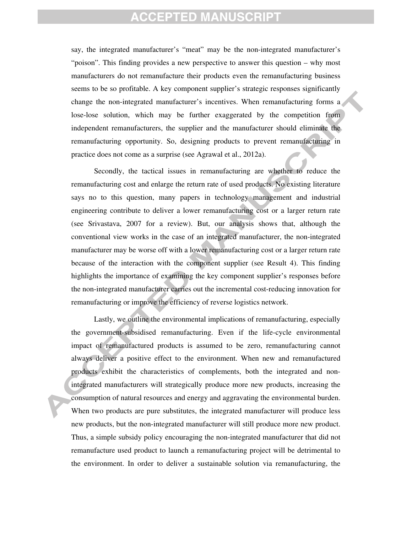say, the integrated manufacturer's "meat" may be the non-integrated manufacturer's "poison". This finding provides a new perspective to answer this question – why most manufacturers do not remanufacture their products even the remanufacturing business seems to be so profitable. A key component supplier's strategic responses significantly change the non-integrated manufacturer's incentives. When remanufacturing forms a lose-lose solution, which may be further exaggerated by the competition from independent remanufacturers, the supplier and the manufacturer should eliminate the remanufacturing opportunity. So, designing products to prevent remanufacturing in practice does not come as a surprise (see Agrawal et al., 2012a).

Secondly, the tactical issues in remanufacturing are whether to reduce the remanufacturing cost and enlarge the return rate of used products. No existing literature says no to this question, many papers in technology management and industrial engineering contribute to deliver a lower remanufacturing cost or a larger return rate (see Srivastava, 2007 for a review). But, our analysis shows that, although the conventional view works in the case of an integrated manufacturer, the non-integrated manufacturer may be worse off with a lower remanufacturing cost or a larger return rate because of the interaction with the component supplier (see Result 4). This finding highlights the importance of examining the key component supplier's responses before the non-integrated manufacturer carries out the incremental cost-reducing innovation for remanufacturing or improve the efficiency of reverse logistics network.

Lastly, we outline the environmental implications of remanufacturing, especially the government-subsidised remanufacturing. Even if the life-cycle environmental impact of remanufactured products is assumed to be zero, remanufacturing cannot always deliver a positive effect to the environment. When new and remanufactured products exhibit the characteristics of complements, both the integrated and nonintegrated manufacturers will strategically produce more new products, increasing the consumption of natural resources and energy and aggravating the environmental burden. When two products are pure substitutes, the integrated manufacturer will produce less new products, but the non-integrated manufacturer will still produce more new product. Thus, a simple subsidy policy encouraging the non-integrated manufacturer that did not remanufacture used product to launch a remanufacturing project will be detrimental to the environment. In order to deliver a sustainable solution via remanufacturing, the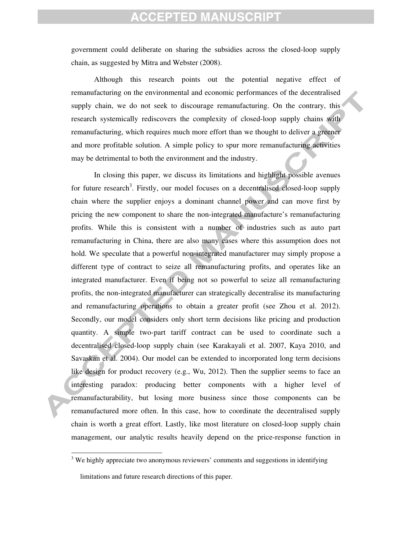government could deliberate on sharing the subsidies across the closed-loop supply chain, as suggested by Mitra and Webster (2008).

Although this research points out the potential negative effect of remanufacturing on the environmental and economic performances of the decentralised supply chain, we do not seek to discourage remanufacturing. On the contrary, this research systemically rediscovers the complexity of closed-loop supply chains with remanufacturing, which requires much more effort than we thought to deliver a greener and more profitable solution. A simple policy to spur more remanufacturing activities may be detrimental to both the environment and the industry.

In closing this paper, we discuss its limitations and highlight possible avenues for future research<sup>3</sup>. Firstly, our model focuses on a decentralised closed-loop supply chain where the supplier enjoys a dominant channel power and can move first by pricing the new component to share the non-integrated manufacture's remanufacturing profits. While this is consistent with a number of industries such as auto part remanufacturing in China, there are also many cases where this assumption does not hold. We speculate that a powerful non-integrated manufacturer may simply propose a different type of contract to seize all remanufacturing profits, and operates like an integrated manufacturer. Even if being not so powerful to seize all remanufacturing profits, the non-integrated manufacturer can strategically decentralise its manufacturing and remanufacturing operations to obtain a greater profit (see Zhou et al. 2012). Secondly, our model considers only short term decisions like pricing and production quantity. A simple two-part tariff contract can be used to coordinate such a decentralised closed-loop supply chain (see Karakayali et al. 2007, Kaya 2010, and Savaskan et al. 2004). Our model can be extended to incorporated long term decisions like design for product recovery (e.g., Wu, 2012). Then the supplier seems to face an interesting paradox: producing better components with a higher level of remanufacturability, but losing more business since those components can be remanufactured more often. In this case, how to coordinate the decentralised supply chain is worth a great effort. Lastly, like most literature on closed-loop supply chain management, our analytic results heavily depend on the price-response function in

<sup>3</sup> We highly appreciate two anonymous reviewers' comments and suggestions in identifying

limitations and future research directions of this paper.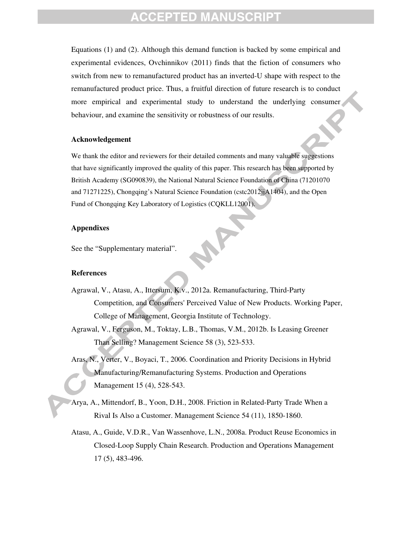Equations (1) and (2). Although this demand function is backed by some empirical and experimental evidences, Ovchinnikov (2011) finds that the fiction of consumers who switch from new to remanufactured product has an inverted-U shape with respect to the remanufactured product price. Thus, a fruitful direction of future research is to conduct more empirical and experimental study to understand the underlying consumer behaviour, and examine the sensitivity or robustness of our results.

#### **Acknowledgement**

We thank the editor and reviewers for their detailed comments and many valuable suggestions that have significantly improved the quality of this paper. This research has been supported by British Academy (SG090839), the National Natural Science Foundation of China (71201070 and 71271225), Chongqing's Natural Science Foundation (cstc2012jjA1404), and the Open Fund of Chongqing Key Laboratory of Logistics (CQKLL12001).

#### **Appendixes**

See the "Supplementary material".

#### **References**

- Agrawal, V., Atasu, A., Ittersum, K.v., 2012a. Remanufacturing, Third-Party Competition, and Consumers' Perceived Value of New Products. Working Paper, College of Management, Georgia Institute of Technology.
- Agrawal, V., Ferguson, M., Toktay, L.B., Thomas, V.M., 2012b. Is Leasing Greener Than Selling? Management Science 58 (3), 523-533.
- Aras, N., Verter, V., Boyaci, T., 2006. Coordination and Priority Decisions in Hybrid Manufacturing/Remanufacturing Systems. Production and Operations Management 15 (4), 528-543.
- Arya, A., Mittendorf, B., Yoon, D.H., 2008. Friction in Related-Party Trade When a Rival Is Also a Customer. Management Science 54 (11), 1850-1860.
- Atasu, A., Guide, V.D.R., Van Wassenhove, L.N., 2008a. Product Reuse Economics in Closed-Loop Supply Chain Research. Production and Operations Management 17 (5), 483-496.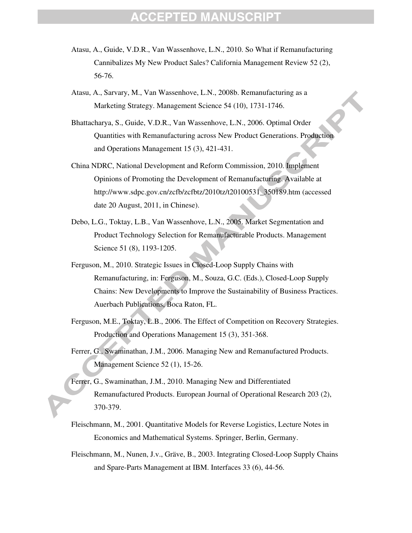- Atasu, A., Guide, V.D.R., Van Wassenhove, L.N., 2010. So What if Remanufacturing Cannibalizes My New Product Sales? California Management Review 52 (2), 56-76.
- Atasu, A., Sarvary, M., Van Wassenhove, L.N., 2008b. Remanufacturing as a Marketing Strategy. Management Science 54 (10), 1731-1746.
- Bhattacharya, S., Guide, V.D.R., Van Wassenhove, L.N., 2006. Optimal Order Quantities with Remanufacturing across New Product Generations. Production and Operations Management 15 (3), 421-431.
- China NDRC, National Development and Reform Commission, 2010. Implement Opinions of Promoting the Development of Remanufacturing. Available at http://www.sdpc.gov.cn/zcfb/zcfbtz/2010tz/t20100531\_350189.htm (accessed date 20 August, 2011, in Chinese).
- Debo, L.G., Toktay, L.B., Van Wassenhove, L.N., 2005. Market Segmentation and Product Technology Selection for Remanufacturable Products. Management Science 51 (8), 1193-1205.
- Ferguson, M., 2010. Strategic Issues in Closed-Loop Supply Chains with Remanufacturing, in: Ferguson, M., Souza, G.C. (Eds.), Closed-Loop Supply Chains: New Developments to Improve the Sustainability of Business Practices. Auerbach Publications, Boca Raton, FL.
- Ferguson, M.E., Toktay, L.B., 2006. The Effect of Competition on Recovery Strategies. Production and Operations Management 15 (3), 351-368.
- Ferrer, G., Swaminathan, J.M., 2006. Managing New and Remanufactured Products. Management Science 52 (1), 15-26.
- Ferrer, G., Swaminathan, J.M., 2010. Managing New and Differentiated Remanufactured Products. European Journal of Operational Research 203 (2), 370-379.
- Fleischmann, M., 2001. Quantitative Models for Reverse Logistics, Lecture Notes in Economics and Mathematical Systems. Springer, Berlin, Germany.
- Fleischmann, M., Nunen, J.v., Gräve, B., 2003. Integrating Closed-Loop Supply Chains and Spare-Parts Management at IBM. Interfaces 33 (6), 44-56.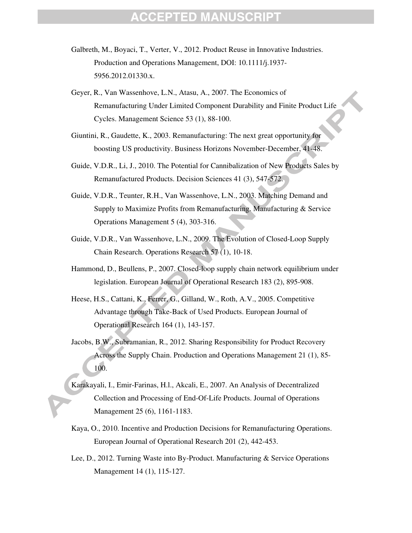- Galbreth, M., Boyaci, T., Verter, V., 2012. Product Reuse in Innovative Industries. Production and Operations Management, DOI: 10.1111/j.1937- 5956.2012.01330.x.
- Geyer, R., Van Wassenhove, L.N., Atasu, A., 2007. The Economics of Remanufacturing Under Limited Component Durability and Finite Product Life Cycles. Management Science 53 (1), 88-100.
- Giuntini, R., Gaudette, K., 2003. Remanufacturing: The next great opportunity for boosting US productivity. Business Horizons November-December, 41-48.
- Guide, V.D.R., Li, J., 2010. The Potential for Cannibalization of New Products Sales by Remanufactured Products. Decision Sciences 41 (3), 547-572.
- Guide, V.D.R., Teunter, R.H., Van Wassenhove, L.N., 2003. Matching Demand and Supply to Maximize Profits from Remanufacturing. Manufacturing & Service Operations Management 5 (4), 303-316.
- Guide, V.D.R., Van Wassenhove, L.N., 2009. The Evolution of Closed-Loop Supply Chain Research. Operations Research 57 (1), 10-18.
- Hammond, D., Beullens, P., 2007. Closed-loop supply chain network equilibrium under legislation. European Journal of Operational Research 183 (2), 895-908.
- Heese, H.S., Cattani, K., Ferrer, G., Gilland, W., Roth, A.V., 2005. Competitive Advantage through Take-Back of Used Products. European Journal of Operational Research 164 (1), 143-157.
- Jacobs, B.W., Subramanian, R., 2012. Sharing Responsibility for Product Recovery Across the Supply Chain. Production and Operations Management 21 (1), 85- 100.
- Karakayali, I., Emir-Farinas, H.l., Akcali, E., 2007. An Analysis of Decentralized Collection and Processing of End-Of-Life Products. Journal of Operations Management 25 (6), 1161-1183.
- Kaya, O., 2010. Incentive and Production Decisions for Remanufacturing Operations. European Journal of Operational Research 201 (2), 442-453.
- Lee, D., 2012. Turning Waste into By-Product. Manufacturing & Service Operations Management 14 (1), 115-127.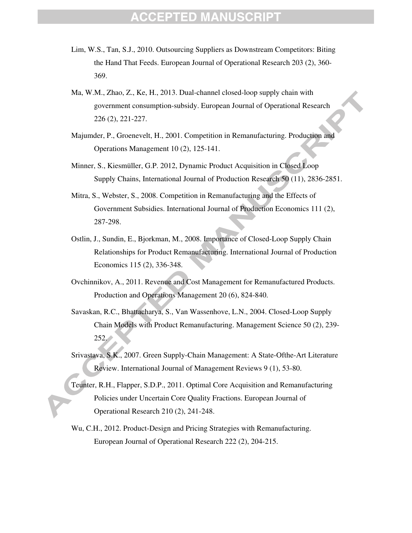- Lim, W.S., Tan, S.J., 2010. Outsourcing Suppliers as Downstream Competitors: Biting the Hand That Feeds. European Journal of Operational Research 203 (2), 360- 369.
- Ma, W.M., Zhao, Z., Ke, H., 2013. Dual-channel closed-loop supply chain with government consumption-subsidy. European Journal of Operational Research 226 (2), 221-227.
- Majumder, P., Groenevelt, H., 2001. Competition in Remanufacturing. Production and Operations Management 10 (2), 125-141.
- Minner, S., Kiesmüller, G.P. 2012, Dynamic Product Acquisition in Closed Loop Supply Chains, International Journal of Production Research 50 (11), 2836-2851.
- Mitra, S., Webster, S., 2008. Competition in Remanufacturing and the Effects of Government Subsidies. International Journal of Production Economics 111 (2), 287-298.
- Ostlin, J., Sundin, E., Bjorkman, M., 2008. Importance of Closed-Loop Supply Chain Relationships for Product Remanufacturing. International Journal of Production Economics 115 (2), 336-348.
- Ovchinnikov, A., 2011. Revenue and Cost Management for Remanufactured Products. Production and Operations Management 20 (6), 824-840.
- Savaskan, R.C., Bhattacharya, S., Van Wassenhove, L.N., 2004. Closed-Loop Supply Chain Models with Product Remanufacturing. Management Science 50 (2), 239-  $252.$
- Srivastava, S.K., 2007. Green Supply-Chain Management: A State-Ofthe-Art Literature Review. International Journal of Management Reviews 9 (1), 53-80.
- Teunter, R.H., Flapper, S.D.P., 2011. Optimal Core Acquisition and Remanufacturing Policies under Uncertain Core Quality Fractions. European Journal of Operational Research 210 (2), 241-248.
- Wu, C.H., 2012. Product-Design and Pricing Strategies with Remanufacturing. European Journal of Operational Research 222 (2), 204-215.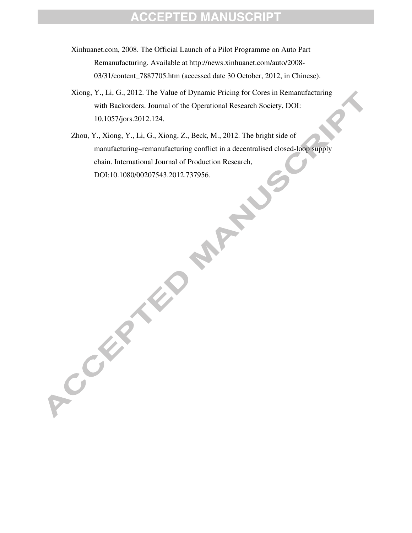- Xinhuanet.com, 2008. The Official Launch of a Pilot Programme on Auto Part Remanufacturing. Available at http://news.xinhuanet.com/auto/2008- 03/31/content\_7887705.htm (accessed date 30 October, 2012, in Chinese).
- Xiong, Y., Li, G., 2012. The Value of Dynamic Pricing for Cores in Remanufacturing with Backorders. Journal of the Operational Research Society, DOI: 10.1057/jors.2012.124.
- Zhou, Y., Xiong, Y., Li, G., Xiong, Z., Beck, M., 2012. The bright side of manufacturing–remanufacturing conflict in a decentralised closed-loop supply chain. International Journal of Production Research, DOI:10.1080/00207543.2012.737956.

ACCEPTED